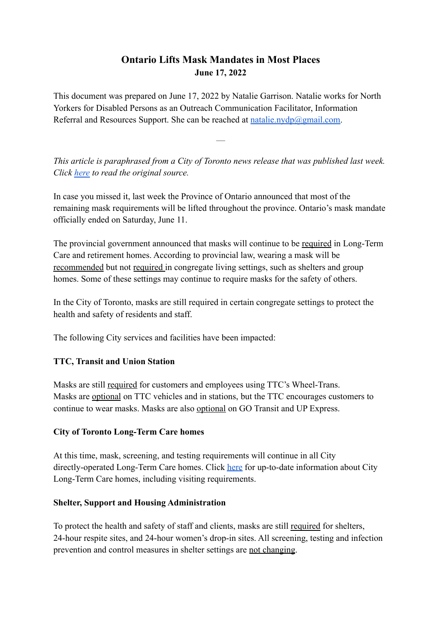# **Ontario Lifts Mask Mandates in Most Places June 17, 2022**

This document was prepared on June 17, 2022 by Natalie Garrison. Natalie works for North Yorkers for Disabled Persons as an Outreach Communication Facilitator, Information Referral and Resources Support. She can be reached at natalie.nydp $@g$ mail.com.

*This article is paraphrased from a City of Toronto news release that was published last week. Click [here](https://www.toronto.ca/news/city-of-toronto-update-on-upcoming-changes-to-provincial-mask-requirements/) to read the original source.*

—

In case you missed it, last week the Province of Ontario announced that most of the remaining mask requirements will be lifted throughout the province. Ontario's mask mandate officially ended on Saturday, June 11.

The provincial government announced that masks will continue to be required in Long-Term Care and retirement homes. According to provincial law, wearing a mask will be recommended but not required in congregate living settings, such as shelters and group homes. Some of these settings may continue to require masks for the safety of others.

In the City of Toronto, masks are still required in certain congregate settings to protect the health and safety of residents and staff.

The following City services and facilities have been impacted:

# **TTC, Transit and Union Station**

Masks are still required for customers and employees using TTC's Wheel-Trans. Masks are optional on TTC vehicles and in stations, but the TTC encourages customers to continue to wear masks. Masks are also optional on GO Transit and UP Express.

#### **City of Toronto Long-Term Care homes**

At this time, mask, screening, and testing requirements will continue in all City directly-operated Long-Term Care homes. Click [here](http://www.toronto.ca/community-people/housing-shelter/rental-housing-tenant-information/finding-housing/long-term-care-homes) for up-to-date information about City Long-Term Care homes, including visiting requirements.

#### **Shelter, Support and Housing Administration**

To protect the health and safety of staff and clients, masks are still required for shelters, 24-hour respite sites, and 24-hour women's drop-in sites. All screening, testing and infection prevention and control measures in shelter settings are not changing.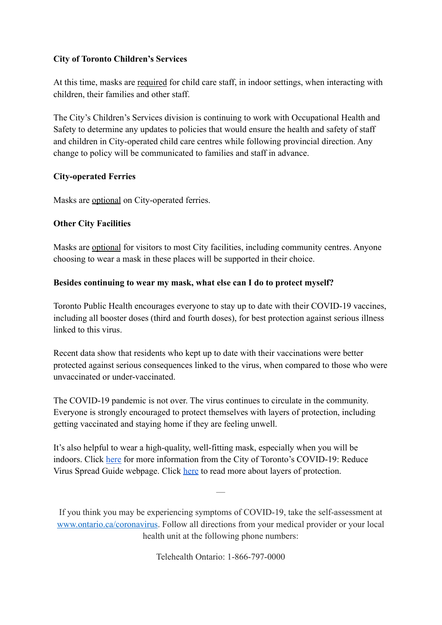# **City of Toronto Children's Services**

At this time, masks are required for child care staff, in indoor settings, when interacting with children, their families and other staff.

The City's Children's Services division is continuing to work with Occupational Health and Safety to determine any updates to policies that would ensure the health and safety of staff and children in City-operated child care centres while following provincial direction. Any change to policy will be communicated to families and staff in advance.

## **City-operated Ferries**

Masks are optional on City-operated ferries.

## **Other City Facilities**

Masks are optional for visitors to most City facilities, including community centres. Anyone choosing to wear a mask in these places will be supported in their choice.

## **Besides continuing to wear my mask, what else can I do to protect myself?**

Toronto Public Health encourages everyone to stay up to date with their COVID-19 vaccines, including all booster doses (third and fourth doses), for best protection against serious illness linked to this virus.

Recent data show that residents who kept up to date with their vaccinations were better protected against serious consequences linked to the virus, when compared to those who were unvaccinated or under-vaccinated.

The COVID-19 pandemic is not over. The virus continues to circulate in the community. Everyone is strongly encouraged to protect themselves with layers of protection, including getting vaccinated and staying home if they are feeling unwell.

It's also helpful to wear a high-quality, well-fitting mask, especially when you will be indoors. Click [here](http://www.toronto.ca/home/covid-19/covid-19-reduce-virus-spread) for more information from the City of Toronto's COVID-19: Reduce Virus Spread Guide webpage. Click [here](https://www.nydp.ca/uploads/1/5/1/7/15170544/layers_of_protection_explained.pdf) to read more about layers of protection.

If you think you may be experiencing symptoms of COVID-19, take the self-assessment at [www.ontario.ca/coronavirus.](http://www.ontario.ca/coronavirus) Follow all directions from your medical provider or your local health unit at the following phone numbers:

—

Telehealth Ontario: 1-866-797-0000